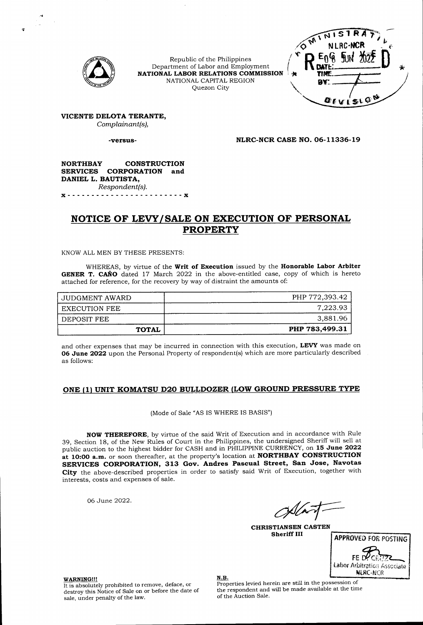

Republic of the Philippines Department of Labor and Employment **NATIONAL LABOR RELATIONS COMMISSION** NATIONAL CAPITAL REGION Quezon City



**VICENTE DELOTA TERANTE,** *Complainant(s),*

**-versus-**

**NLRC-NCR CASE NO, 06-11336-19**

#### **NORTHBAY CONSTRUCTION SERVICES CORPORATION and DANIEL L. BAUTISTA,** *Respondent(s).*

X................................................................................. <sup>X</sup>

# **NOTICE OF LEVY/SALE ON EXECUTION OF PERSONAL PROPERTY**

KNOW ALL MEN BY THESE PRESENTS:

WHEREAS, by virtue of the **Writ of Execution** issued by the **Honorable Labor Arbiter GENER T. CANO** dated 17 March 2022 in the above-entitled case, copy of which is hereto attached for reference, for the recovery by way of distraint the amounts of:

| JUDGMENT AWARD | PHP 772,393.42 |
|----------------|----------------|
| EXECUTION FEE  | 7,223.93       |
| DEPOSIT FEE    | 3.881.96       |
| <b>TOTAL</b>   | PHP 783,499.31 |

and other expenses that may be incurred in connection with this execution, **LEVY** was made on **06 June 2022** upon the Personal Property of respondent(s) which are more particularly described as follows:

### **ONE (11 UNIT KOMATSU D20 BULLDOZER (LOW GROUND PRESSURE TYPE**

(Mode of Sale "AS IS WHERE IS BASIS")

**NOW THEREFORE,** by virtue of the said Writ of Execution and in accordance with Rule 39, Section 18, of the New Rules of Court in the Philippines, the undersigned Sheriff will sell at public auction to the highest bidder for CASH and in PHILIPPINE CURRENCY, on **15 June 2022 at 10:00 a.m.** or soon thereafter, at the property's location at **NORTHBAY CONSTRUCTION SERVICES CORPORATION, 313 Gov. Andres Pascual Street, San Jose, Navotas City** the above-described properties in order to satisfy said Writ of Execution, together with interests, costs and expenses of sale.

06 June 2022.

**CHRISTIANSEN CASTEN Sheriff III**



**WARNING!!!** It is absolutely prohibited to remove, deface, or destroy this Notice of Sale on or before the date of sale, under penalty of the law.

N.B. Properties levied herein are still in the possession of the respondent and will be made available at the time of the Auction Sale.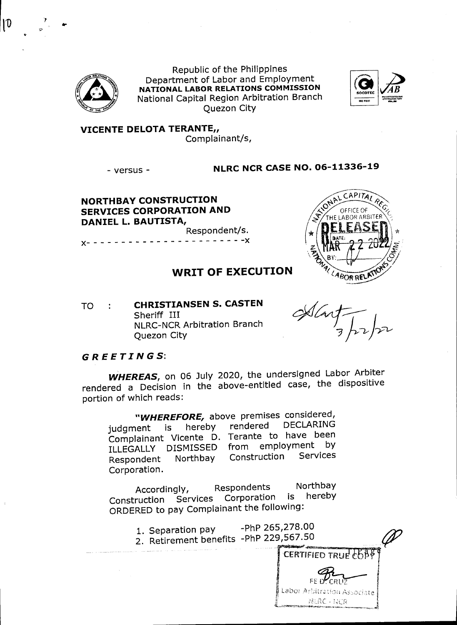

Republic of the Philippines Department of Labor and Employment NATIONAL LABOR RELATIONS COMMISSION National Capital Region Arbitration Branch **Ouezon City** 



**VICENTE DELOTA TERANTE,,** Complainant/s,

- versus -

**NLRC NCR CASE NO. 06-11336-19** 

**NORTHBAY CONSTRUCTION SERVICES CORPORATION AND** DANIEL L. BAUTISTA, Respondent/s.

 $- - - - - - - -$ 

## **WRIT OF EXECUTION**

**CHRISTIANSEN S. CASTEN TO**  $\sim$  1. Sheriff III **NLRC-NCR Arbitration Branch Ouezon City** 

Alart

NURC - NCR

NALLABOR RE

CAPITAI

THE LABOR ARE

### **GREETINGS:**

WHEREAS, on 06 July 2020, the undersigned Labor Arbiter rendered a Decision in the above-entitled case, the dispositive portion of which reads:

"WHEREFORE, above premises considered, **DECLARING** rendered hereby judgment is Complainant Vicente D. Terante to have been from employment by ILLEGALLY DISMISSED Construction Services Northbay Respondent Corporation.

Northbay Respondents Accordingly, Construction Services Corporation is hereby ORDERED to pay Complainant the following:

-PhP 265,278.00 1. Separation pay 2. Retirement benefits -PhP 229,567.50 CERTIFIED TRUE FOB FE D'CRU Labor Arbitration Associate

 $\boldsymbol{\mathsf{10}}$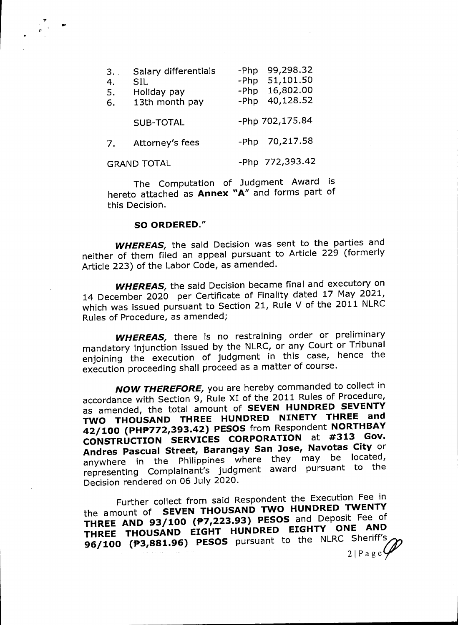| 3.<br>4.<br>5.<br>6. | Salary differentials<br>SIL<br>Holiday pay<br>13th month pay | -Php<br>-Php<br>-Php<br>-Php | 99,298.32<br>51,101.50<br>16,802.00<br>40,128.52 |
|----------------------|--------------------------------------------------------------|------------------------------|--------------------------------------------------|
|                      | <b>SUB-TOTAL</b>                                             |                              | -Php 702,175.84                                  |
| 7.                   | Attorney's fees                                              | -Php                         | 70,217.58                                        |
| <b>GRAND TOTAL</b>   |                                                              |                              | -Php 772,393.42                                  |

The Computation of Judgment Award is hereto attached as Annex "A" and forms part of this Decision.

### SO ORDERED."

**WHEREAS**, the said Decision was sent to the parties and neither of them filed an appeal pursuant to Article 229 (formerly Article 223) of the Labor Code, as amended.

**WHEREAS**, the said Decision became final and executory on 14 December 2020 per Certificate of Finality dated 17 May 2021, which was issued pursuant to Section 21, Rule V of the 2011 NLRC Rules of Procedure, as amended;

**WHEREAS**, there is no restraining order or preliminary mandatory injunction issued by the NLRC, or any Court or Tribunal enjoining the execution of judgment in this case, hence the execution proceeding shall proceed as a matter of course.

**NOW THEREFORE**, you are hereby commanded to collect in accordance with Section 9, Rule XI of the 2011 Rules of Procedure, as amended, the total amount of SEVEN HUNDRED SEVENTY TWO THOUSAND THREE HUNDRED NINETY THREE and 42/100 (PHP772,393.42) PESOS from Respondent NORTHBAY CONSTRUCTION SERVICES CORPORATION at #313 Gov. Andres Pascual Street, Barangay San Jose, Navotas City or anywhere in the Philippines where they may be located, representing Complainant's judgment award pursuant to the Decision rendered on 06 July 2020.

Further collect from said Respondent the Execution Fee in the amount of SEVEN THOUSAND TWO HUNDRED TWENTY THREE AND 93/100 (P7,223.93) PESOS and Deposit Fee of THREE THOUSAND EIGHT HUNDRED EIGHTY ONE AND 96/100 (P3,881.96) PESOS pursuant to the NLRC Sheriff's  $2|Page$